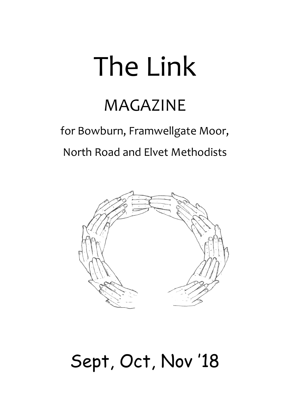# The Link

## MAGAZINE

## for Bowburn, Framwellgate Moor, North Road and Elvet Methodists



## Sept, Oct, Nov '18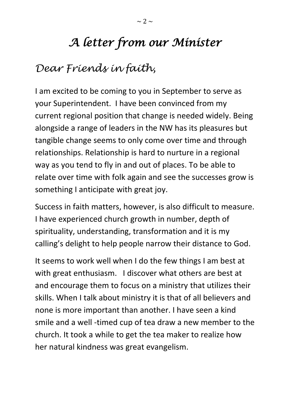## *A letter from our Minister*

## *Dear Friends in faith,*

I am excited to be coming to you in September to serve as your Superintendent. I have been convinced from my current regional position that change is needed widely. Being alongside a range of leaders in the NW has its pleasures but tangible change seems to only come over time and through relationships. Relationship is hard to nurture in a regional way as you tend to fly in and out of places. To be able to relate over time with folk again and see the successes grow is something I anticipate with great joy.

Success in faith matters, however, is also difficult to measure. I have experienced church growth in number, depth of spirituality, understanding, transformation and it is my calling's delight to help people narrow their distance to God.

It seems to work well when I do the few things I am best at with great enthusiasm. I discover what others are best at and encourage them to focus on a ministry that utilizes their skills. When I talk about ministry it is that of all believers and none is more important than another. I have seen a kind smile and a well -timed cup of tea draw a new member to the church. It took a while to get the tea maker to realize how her natural kindness was great evangelism.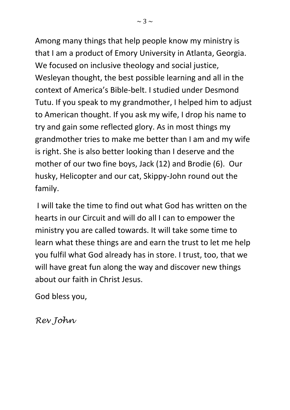Among many things that help people know my ministry is that I am a product of Emory University in Atlanta, Georgia. We focused on inclusive theology and social justice, Wesleyan thought, the best possible learning and all in the context of America's Bible-belt. I studied under Desmond Tutu. If you speak to my grandmother, I helped him to adjust to American thought. If you ask my wife, I drop his name to try and gain some reflected glory. As in most things my grandmother tries to make me better than I am and my wife is right. She is also better looking than I deserve and the mother of our two fine boys, Jack (12) and Brodie (6). Our husky, Helicopter and our cat, Skippy-John round out the family.

I will take the time to find out what God has written on the hearts in our Circuit and will do all I can to empower the ministry you are called towards. It will take some time to learn what these things are and earn the trust to let me help you fulfil what God already has in store. I trust, too, that we will have great fun along the way and discover new things about our faith in Christ Jesus.

God bless you,

*Rev John*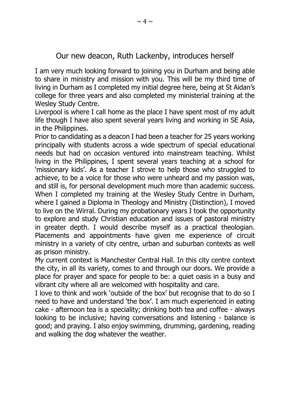#### Our new deacon, Ruth Lackenby, introduces herself

I am very much looking forward to joining you in Durham and being able to share in ministry and mission with you. This will be my third time of living in Durham as I completed my initial degree here, being at St Aidan's college for three years and also completed my ministerial training at the Wesley Study Centre.

Liverpool is where I call home as the place I have spent most of my adult life though I have also spent several years living and working in SE Asia, in the Philippines.

Prior to candidating as a deacon I had been a teacher for 25 years working principally with students across a wide spectrum of special educational needs but had on occasion ventured into mainstream teaching. Whilst living in the Philippines, I spent several years teaching at a school for 'missionary kids'. As a teacher I strove to help those who struggled to achieve, to be a voice for those who were unheard and my passion was, and still is, for personal development much more than academic success. When I completed my training at the Wesley Study Centre in Durham, where I gained a Diploma in Theology and Ministry (Distinction), I moved to live on the Wirral. During my probationary years I took the opportunity to explore and study Christian education and issues of pastoral ministry in greater depth. I would describe myself as a practical theologian. Placements and appointments have given me experience of circuit ministry in a variety of city centre, urban and suburban contexts as well as prison ministry.

My current context is Manchester Central Hall. In this city centre context the city, in all its variety, comes to and through our doors. We provide a place for prayer and space for people to be: a quiet oasis in a busy and vibrant city where all are welcomed with hospitality and care.

I love to think and work 'outside of the box' but recognise that to do so I need to have and understand 'the box'. I am much experienced in eating cake - afternoon tea is a speciality; drinking both tea and coffee - always looking to be inclusive; having conversations and listening - balance is good; and praying. I also enjoy swimming, drumming, gardening, reading and walking the dog whatever the weather.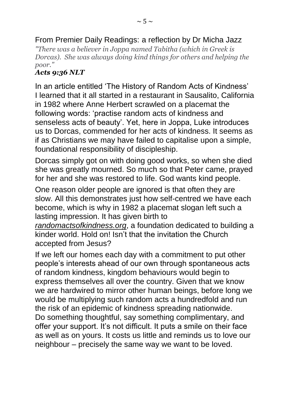*"There was a believer in Joppa named Tabitha (which in Greek is Dorcas). She was always doing kind things for others and helping the poor."*

#### *Acts 9:36 NLT*

In an article entitled 'The History of Random Acts of Kindness' I learned that it all started in a restaurant in Sausalito, California in 1982 where Anne Herbert scrawled on a placemat the following words: 'practise random acts of kindness and senseless acts of beauty'. Yet, here in Joppa, Luke introduces us to Dorcas, commended for her acts of kindness. It seems as if as Christians we may have failed to capitalise upon a simple, foundational responsibility of discipleship.

Dorcas simply got on with doing good works, so when she died she was greatly mourned. So much so that Peter came, prayed for her and she was restored to life. God wants kind people.

One reason older people are ignored is that often they are slow. All this demonstrates just how self-centred we have each become, which is why in 1982 a placemat slogan left such a lasting impression. It has given birth to

*[randomactsofkindness.org](http://randomactsofkindness.org/)*, a foundation dedicated to building a kinder world. Hold on! Isn't that the invitation the Church accepted from Jesus?

If we left our homes each day with a commitment to put other people's interests ahead of our own through spontaneous acts of random kindness, kingdom behaviours would begin to express themselves all over the country. Given that we know we are hardwired to mirror other human beings, before long we would be multiplying such random acts a hundredfold and run the risk of an epidemic of kindness spreading nationwide. Do something thoughtful, say something complimentary, and offer your support. It's not difficult. It puts a smile on their face as well as on yours. It costs us little and reminds us to love our neighbour – precisely the same way we want to be loved.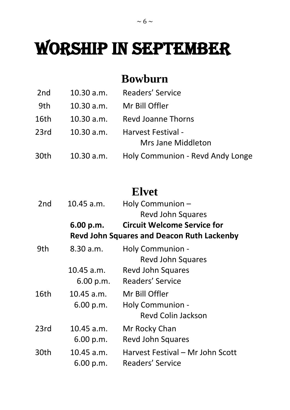## WORSHIP IN SEPTEMBER

## **Bowburn**

| 2nd  | 10.30 a.m. | <b>Readers' Service</b>          |
|------|------------|----------------------------------|
| 9th  | 10.30 a.m. | Mr Bill Offler                   |
| 16th | 10.30 a.m. | <b>Revd Joanne Thorns</b>        |
| 23rd |            | 10.30 a.m. Harvest Festival -    |
|      |            | Mrs Jane Middleton               |
| 30th | 10.30 a.m. | Holy Communion - Revd Andy Longe |

## **Elvet**

| 2nd  | 10.45 a.m.   | Holy Communion -                                  |
|------|--------------|---------------------------------------------------|
|      |              | <b>Revd John Squares</b>                          |
|      | 6.00 p.m.    | <b>Circuit Welcome Service for</b>                |
|      |              | <b>Revd John Squares and Deacon Ruth Lackenby</b> |
| 9th  | 8.30 a.m.    | Holy Communion -                                  |
|      |              | <b>Revd John Squares</b>                          |
|      | 10.45 a.m.   | Revd John Squares                                 |
|      | 6.00 p.m.    | Readers' Service                                  |
| 16th | $10.45$ a.m. | Mr Bill Offler                                    |
|      | 6.00 p.m.    | Holy Communion -                                  |
|      |              | <b>Revd Colin Jackson</b>                         |
| 23rd | $10.45$ a.m. | Mr Rocky Chan                                     |
|      | 6.00 p.m.    | <b>Revd John Squares</b>                          |
| 30th | $10.45$ a.m. | Harvest Festival – Mr John Scott                  |
|      | 6.00 p.m.    | <b>Readers' Service</b>                           |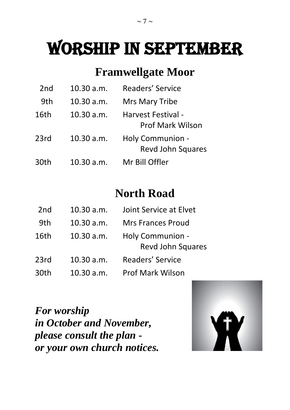## WORSHIP IN september

## **Framwellgate Moor**

| 2 <sub>nd</sub> | 10.30 a.m. | <b>Readers' Service</b>                       |
|-----------------|------------|-----------------------------------------------|
| 9th             | 10.30 a.m. | Mrs Mary Tribe                                |
| 16th            | 10.30 a.m. | Harvest Festival -<br><b>Prof Mark Wilson</b> |
| 23rd            | 10.30 a.m. | Holy Communion -<br><b>Revd John Squares</b>  |
| 30th            | 10.30 a.m. | Mr Bill Offler                                |

## **North Road**

| 2 <sub>nd</sub> | 10.30 a.m. | Joint Service at Elvet                       |
|-----------------|------------|----------------------------------------------|
| 9th             | 10.30 a.m. | <b>Mrs Frances Proud</b>                     |
| 16th            | 10.30 a.m. | Holy Communion -<br><b>Revd John Squares</b> |
| 23rd            | 10.30 a.m. | Readers' Service                             |
| 30th            | 10.30 a.m. | <b>Prof Mark Wilson</b>                      |

*For worship in October and November, please consult the plan or your own church notices.*

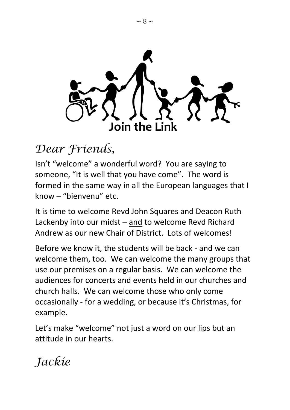

## *Dear Friends,*

Isn't "welcome" a wonderful word? You are saying to someone, "It is well that you have come". The word is formed in the same way in all the European languages that I know – "bienvenu" etc.

It is time to welcome Revd John Squares and Deacon Ruth Lackenby into our midst – and to welcome Revd Richard Andrew as our new Chair of District. Lots of welcomes!

Before we know it, the students will be back - and we can welcome them, too. We can welcome the many groups that use our premises on a regular basis. We can welcome the audiences for concerts and events held in our churches and church halls. We can welcome those who only come occasionally - for a wedding, or because it's Christmas, for example.

Let's make "welcome" not just a word on our lips but an attitude in our hearts.

*Jackie*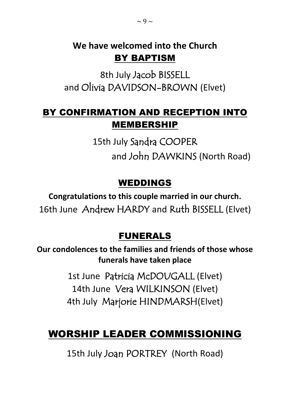### **We have welcomed into the Church** BY BAPTISM

8th July Jacob BISSELL and Olivia DAVIDSON-BROWN (Elvet)

### BY CONFIRMATION AND RECEPTION INTO MEMBERSHIP

15th July Sandra COOPER and John DAWKINS (North Road)

### WEDDINGS

**Congratulations to this couple married in our church.** 16th June Andrew HARDY and Ruth BISSELL (Elvet)

### FUNERALS

**Our condolences to the families and friends of those whose funerals have taken place**

> 1st June Patricia McDOUGALL (Elvet) 14th June Vera WILKINSON (Elvet) 4th July Marjorie HINDMARSH(Elvet)

## WORSHIP LEADER COMMISSIONING

15th July Joan PORTREY (North Road)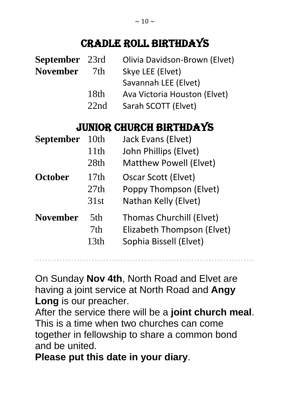## Cradle Roll Birthdays

| <b>September</b> | 23rd | Olivia Davidson-Brown (Elvet)   |
|------------------|------|---------------------------------|
| <b>November</b>  | 7th  | Skye LEE (Elvet)                |
|                  |      | Savannah LEE (Elvet)            |
|                  | 18th | Ava Victoria Houston (Elvet)    |
|                  | 22nd | Sarah SCOTT (Elvet)             |
|                  |      | <b>JUNIOR CHURCH BIRTHDAYS</b>  |
| September        | 10th | Jack Evans (Elvet)              |
|                  | 11th | John Phillips (Elvet)           |
|                  | 28th | <b>Matthew Powell (Elvet)</b>   |
| <b>October</b>   | 17th | <b>Oscar Scott (Elvet)</b>      |
|                  | 27th | Poppy Thompson (Elvet)          |
|                  | 31st | Nathan Kelly (Elvet)            |
| <b>November</b>  | 5th  | <b>Thomas Churchill (Elvet)</b> |
|                  | 7th  | Elizabeth Thompson (Elvet)      |
|                  | 13th | Sophia Bissell (Elvet)          |

On Sunday **Nov 4th**, North Road and Elvet are having a joint service at North Road and **Angy Long** is our preacher.

After the service there will be a **joint church meal**. This is a time when two churches can come together in fellowship to share a common bond and be united.

**Please put this date in your diary**.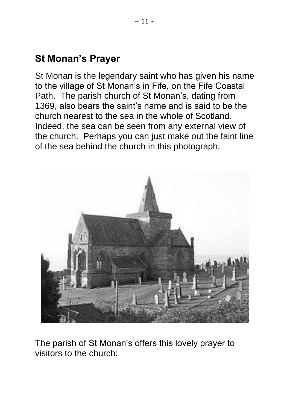### **St Monan's Prayer**

St Monan is the legendary saint who has given his name to the village of St Monan's in Fife, on the Fife Coastal Path. The parish church of St Monan's, dating from 1369, also bears the saint's name and is said to be the church nearest to the sea in the whole of Scotland. Indeed, the sea can be seen from any external view of the church. Perhaps you can just make out the faint line of the sea behind the church in this photograph.



The parish of St Monan's offers this lovely prayer to visitors to the church: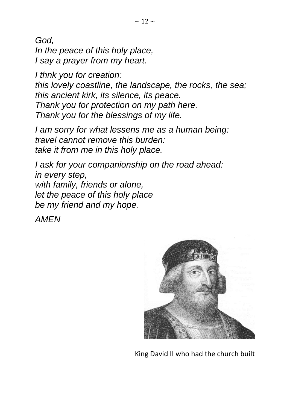*God, In the peace of this holy place, I say a prayer from my heart.*

*I thnk you for creation: this lovely coastline, the landscape, the rocks, the sea; this ancient kirk, its silence, its peace. Thank you for protection on my path here. Thank you for the blessings of my life.*

*I am sorry for what lessens me as a human being: travel cannot remove this burden: take it from me in this holy place.*

*I ask for your companionship on the road ahead: in every step, with family, friends or alone, let the peace of this holy place be my friend and my hope.*

*AMEN*



King David II who had the church built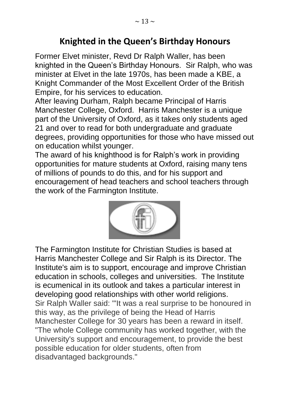### **Knighted in the Queen's Birthday Honours**

Former Elvet minister, Revd Dr Ralph Waller, has been knighted in the Queen's Birthday Honours. Sir Ralph, who was minister at Elvet in the late 1970s, has been made a KBE, a Knight Commander of the Most Excellent Order of the British Empire, for his services to education.

After leaving Durham, Ralph became Principal of Harris Manchester College, Oxford. Harris Manchester is a unique part of the University of Oxford, as it takes only students aged 21 and over to read for both undergraduate and graduate degrees, providing opportunities for those who have missed out on education whilst younger.

The award of his knighthood is for Ralph's work in providing opportunities for mature students at Oxford, raising many tens of millions of pounds to do this, and for his support and encouragement of head teachers and school teachers through the work of the Farmington Institute.



The Farmington Institute for Christian Studies is based at [Harris Manchester College](https://en.wikipedia.org/wiki/Harris_Manchester_College) and Sir [Ralph i](https://en.wikipedia.org/wiki/Ralph_Waller)s its Director. The Institute's aim is to support, encourage and improve Christian education in schools, colleges and universities. The Institute is [ecumenical](https://en.wikipedia.org/wiki/Ecumenism) in its outlook and takes a particular interest in developing good relationships with other [world religions.](https://en.wikipedia.org/wiki/World_religions) Sir Ralph Waller said: "'It was a real surprise to be honoured in this way, as the privilege of being the Head of Harris Manchester College for 30 years has been a reward in itself. "The whole College community has worked together, with the University's support and encouragement, to provide the best possible education for older students, often from disadvantaged backgrounds."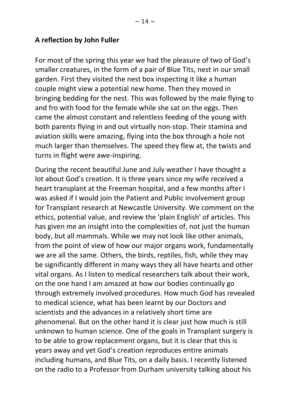#### **A reflection by John Fuller**

For most of the spring this year we had the pleasure of two of God's smaller creatures, in the form of a pair of Blue Tits, nest in our small garden. First they visited the nest box inspecting it like a human couple might view a potential new home. Then they moved in bringing bedding for the nest. This was followed by the male flying to and fro with food for the female while she sat on the eggs. Then came the almost constant and relentless feeding of the young with both parents flying in and out virtually non-stop. Their stamina and aviation skills were amazing, flying into the box through a hole not much larger than themselves. The speed they flew at, the twists and turns in flight were awe-inspiring.

During the recent beautiful June and July weather I have thought a lot about God's creation. It is three years since my wife received a heart transplant at the Freeman hospital, and a few months after I was asked if I would join the Patient and Public involvement group for Transplant research at Newcastle University. We comment on the ethics, potential value, and review the 'plain English' of articles. This has given me an insight into the complexities of, not just the human body, but all mammals. While we may not look like other animals, from the point of view of how our major organs work, fundamentally we are all the same. Others, the birds, reptiles, fish, while they may be significantly different in many ways they all have hearts and other vital organs. As I listen to medical researchers talk about their work, on the one hand I am amazed at how our bodies continually go through extremely involved procedures. How much God has revealed to medical science, what has been learnt by our Doctors and scientists and the advances in a relatively short time are phenomenal. But on the other hand it is clear just how much is still unknown to human science. One of the goals in Transplant surgery is to be able to grow replacement organs, but it is clear that this is years away and yet God's creation reproduces entire animals including humans, and Blue Tits, on a daily basis. I recently listened on the radio to a Professor from Durham university talking about his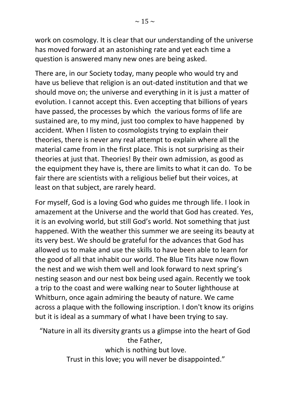work on cosmology. It is clear that our understanding of the universe has moved forward at an astonishing rate and yet each time a question is answered many new ones are being asked.

There are, in our Society today, many people who would try and have us believe that religion is an out-dated institution and that we should move on; the universe and everything in it is just a matter of evolution. I cannot accept this. Even accepting that billions of years have passed, the processes by which the various forms of life are sustained are, to my mind, just too complex to have happened by accident. When I listen to cosmologists trying to explain their theories, there is never any real attempt to explain where all the material came from in the first place. This is not surprising as their theories at just that. Theories! By their own admission, as good as the equipment they have is, there are limits to what it can do. To be fair there are scientists with a religious belief but their voices, at least on that subject, are rarely heard.

For myself, God is a loving God who guides me through life. I look in amazement at the Universe and the world that God has created. Yes, it is an evolving world, but still God's world. Not something that just happened. With the weather this summer we are seeing its beauty at its very best. We should be grateful for the advances that God has allowed us to make and use the skills to have been able to learn for the good of all that inhabit our world. The Blue Tits have now flown the nest and we wish them well and look forward to next spring's nesting season and our nest box being used again. Recently we took a trip to the coast and were walking near to Souter lighthouse at Whitburn, once again admiring the beauty of nature. We came across a plaque with the following inscription. I don't know its origins but it is ideal as a summary of what I have been trying to say.

"Nature in all its diversity grants us a glimpse into the heart of God the Father, which is nothing but love. Trust in this love; you will never be disappointed."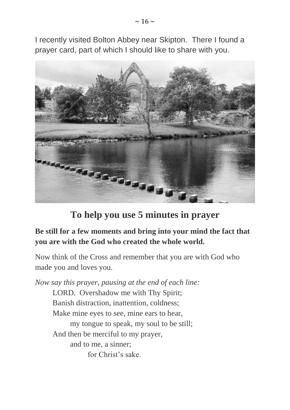I recently visited Bolton Abbey near Skipton. There I found a prayer card, part of which I should like to share with you.



**To help you use 5 minutes in prayer**

#### **Be still for a few moments and bring into your mind the fact that you are with the God who created the whole world.**

Now think of the Cross and remember that you are with God who made you and loves you.

*Now say this prayer, pausing at the end of each line:* LORD. Overshadow me with Thy Spirit; Banish distraction, inattention, coldness; Make mine eyes to see, mine ears to hear, my tongue to speak, my soul to be still; And then be merciful to my prayer, and to me, a sinner; for Christ's sake.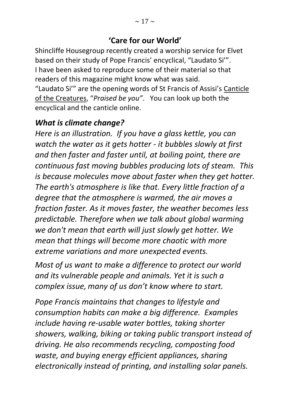#### **'Care for our World'**

Shincliffe Housegroup recently created a worship service for Elvet based on their study of Pope Francis' encyclical, "Laudato Si'". I have been asked to reproduce some of their material so that readers of this magazine might know what was said. "Laudato Si'" are the opening words of St Francis of Assisi's Canticle

of the Creatures, "*Praised be you"*. You can look up both the encyclical and the canticle online.

#### *What is climate change?*

*Here is an illustration. If you have a glass kettle, you can watch the water as it gets hotter - it bubbles slowly at first and then faster and faster until, at boiling point, there are continuous fast moving bubbles producing lots of steam. This is because molecules move about faster when they get hotter. The earth's atmosphere is like that. Every little fraction of a degree that the atmosphere is warmed, the air moves a fraction faster. As it moves faster, the weather becomes less predictable. Therefore when we talk about global warming we don't mean that earth will just slowly get hotter. We mean that things will become more chaotic with more extreme variations and more unexpected events.*

*Most of us want to make a difference to protect our world and its vulnerable people and animals. Yet it is such a complex issue, many of us don't know where to start.*

*Pope Francis maintains that changes to lifestyle and consumption habits can make a big difference. Examples include having re-usable water bottles, taking shorter showers, walking, biking or taking public transport instead of driving. He also recommends recycling, composting food waste, and buying energy efficient appliances, sharing electronically instead of printing, and installing solar panels.*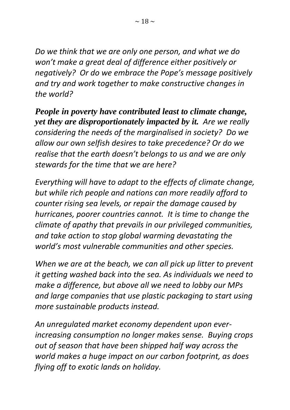*Do we think that we are only one person, and what we do won't make a great deal of difference either positively or negatively? Or do we embrace the Pope's message positively and try and work together to make constructive changes in the world?* 

*People in poverty have contributed least to climate change, yet they are disproportionately impacted by it. Are we really considering the needs of the marginalised in society? Do we allow our own selfish desires to take precedence? Or do we realise that the earth doesn't belongs to us and we are only stewards for the time that we are here?* 

*Everything will have to adapt to the effects of climate change, but while rich people and nations can more readily afford to counter rising sea levels, or repair the damage caused by hurricanes, poorer countries cannot. It is time to change the climate of apathy that prevails in our privileged communities, and take action to stop global warming devastating the world's most vulnerable communities and other species.*

*When we are at the beach, we can all pick up litter to prevent it getting washed back into the sea. As individuals we need to make a difference, but above all we need to lobby our MPs and large companies that use plastic packaging to start using more sustainable products instead.*

*An unregulated market economy dependent upon everincreasing consumption no longer makes sense. Buying crops out of season that have been shipped half way across the world makes a huge impact on our carbon footprint, as does flying off to exotic lands on holiday.*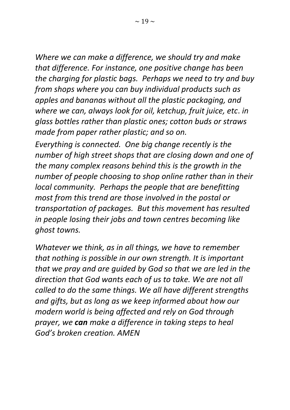*Where we can make a difference, we should try and make that difference. For instance, one positive change has been the charging for plastic bags. Perhaps we need to try and buy from shops where you can buy individual products such as apples and bananas without all the plastic packaging, and where we can, always look for oil, ketchup, fruit juice, etc*. *in glass bottles rather than plastic ones; cotton buds or straws made from paper rather plastic; and so on.* 

*Everything is connected. One big change recently is the number of high street shops that are closing down and one of the many complex reasons behind this is the growth in the number of people choosing to shop online rather than in their local community. Perhaps the people that are benefitting most from this trend are those involved in the postal or transportation of packages. But this movement has resulted in people losing their jobs and town centres becoming like ghost towns.*

*Whatever we think, as in all things, we have to remember that nothing is possible in our own strength. It is important that we pray and are guided by God so that we are led in the direction that God wants each of us to take. We are not all called to do the same things. We all have different strengths and gifts, but as long as we keep informed about how our modern world is being affected and rely on God through prayer, we can make a difference in taking steps to heal God's broken creation. AMEN*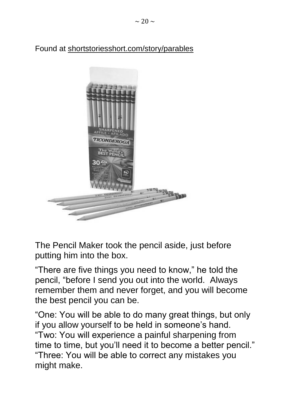Found at [shortstoriesshort.com/story/parables](http://shortstoriesshort.com/story/parables)



The Pencil Maker took the pencil aside, just before putting him into the box.

"There are five things you need to know," he told the pencil, "before I send you out into the world. Always remember them and never forget, and you will become the best pencil you can be.

"One: You will be able to do many great things, but only if you allow yourself to be held in someone's hand. "Two: You will experience a painful sharpening from time to time, but you'll need it to become a better pencil." "Three: You will be able to correct any mistakes you might make.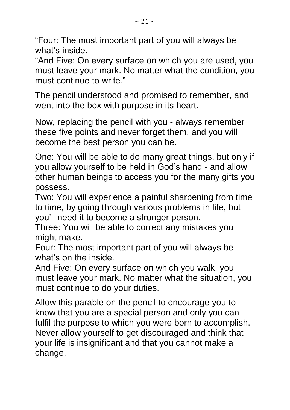"Four: The most important part of you will always be what's inside.

"And Five: On every surface on which you are used, you must leave your mark. No matter what the condition, you must continue to write."

The pencil understood and promised to remember, and went into the box with purpose in its heart.

Now, replacing the pencil with you - always remember these five points and never forget them, and you will become the best person you can be.

One: You will be able to do many great things, but only if you allow yourself to be held in God's hand - and allow other human beings to access you for the many gifts you possess.

Two: You will experience a painful sharpening from time to time, by going through various problems in life, but you'll need it to become a stronger person.

Three: You will be able to correct any mistakes you might make.

Four: The most important part of you will always be what's on the inside.

And Five: On every surface on which you walk, you must leave your mark. No matter what the situation, you must continue to do your duties.

Allow this parable on the pencil to encourage you to know that you are a special person and only you can fulfil the purpose to which you were born to accomplish. Never allow yourself to get discouraged and think that your life is insignificant and that you cannot make a change.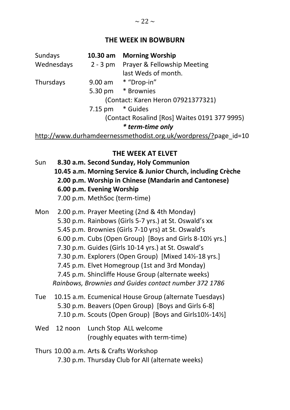#### **THE WEEK IN BOWBURN**

| Sundays<br>Wednesdays | $10.30$ am       | <b>Morning Worship</b><br>2 - 3 pm Prayer & Fellowship Meeting<br>last Weds of month. |
|-----------------------|------------------|---------------------------------------------------------------------------------------|
| Thursdays             |                  | 9.00 am * "Drop-in"<br>5.30 pm * Brownies<br>(Contact: Karen Heron 07921377321)       |
|                       | 7.15 pm * Guides | (Contact Rosalind [Ros] Waites 0191 377 9995)<br>* term-time only                     |

http://www.durhamdeernessmethodist.org.uk/wordpress/?page\_id=10

#### **THE WEEK AT ELVET**

- Sun **8.30 a.m. Second Sunday, Holy Communion 10.45 a.m. Morning Service & Junior Church, including Crèche 2.00 p.m. Worship in Chinese (Mandarin and Cantonese) 6.00 p.m. Evening Worship**  7.00 p.m. MethSoc (term-time)
- Mon 2.00 p.m. Prayer Meeting (2nd & 4th Monday) 5.30 p.m. Rainbows (Girls 5-7 yrs.) at St. Oswald's xx 5.45 p.m. Brownies (Girls 7-10 yrs) at St. Oswald's 6.00 p.m. Cubs (Open Group) [Boys and Girls 8-10½ yrs.] 7.30 p.m. Guides (Girls 10-14 yrs.) at St. Oswald's 7.30 p.m. Explorers (Open Group) [Mixed 14½-18 yrs.] 7.45 p.m. Elvet Homegroup (1st and 3rd Monday) 7.45 p.m. Shincliffe House Group (alternate weeks) *Rainbows, Brownies and Guides contact number 372 1786*
- Tue 10.15 a.m. Ecumenical House Group (alternate Tuesdays) 5.30 p.m. Beavers (Open Group) [Boys and Girls 6-8] 7.10 p.m. Scouts (Open Group) [Boys and Girls10½-14½]
- Wed 12 noon Lunch Stop ALL welcome (roughly equates with term-time)
- Thurs 10.00 a.m. Arts & Crafts Workshop 7.30 p.m. Thursday Club for All (alternate weeks)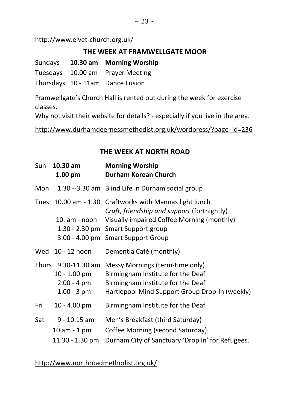#### **THE WEEK AT FRAMWELLGATE MOOR**

Sundays **10.30 am Morning Worship** Tuesdays 10.00 am Prayer Meeting Thursdays 10 - 11am Dance Fusion

Framwellgate's Church Hall is rented out during the week for exercise classes.

Why not visit their website for details? - especially if you live in the area.

http://www.durhamdeernessmethodist.org.uk/wordpress/?page\_id=236

#### **THE WEEK AT NORTH ROAD**

| Sun         | $10.30$ am<br>$1.00$ pm                                                         | <b>Morning Worship</b><br><b>Durham Korean Church</b>                                                                                                                                                       |
|-------------|---------------------------------------------------------------------------------|-------------------------------------------------------------------------------------------------------------------------------------------------------------------------------------------------------------|
| Mon         |                                                                                 | 1.30 --3.30 am Blind Life in Durham social group                                                                                                                                                            |
| <b>Tues</b> | $10.00$ am - $1.30$<br>$10. am - noon$                                          | Craftworks with Mannas light lunch<br>Craft, friendship and support (fortnightly)<br>Visually impaired Coffee Morning (monthly)<br>1.30 - 2.30 pm Smart Support group<br>3.00 - 4.00 pm Smart Support Group |
|             | Wed 10 - 12 noon                                                                | Dementia Café (monthly)                                                                                                                                                                                     |
|             | Thurs 9.30-11.30 am<br>$10 - 1.00$ pm<br>$2.00 - 4 \text{ pm}$<br>$1.00 - 3$ pm | Messy Mornings (term-time only)<br>Birmingham Institute for the Deaf<br>Birmingham Institute for the Deaf<br>Hartlepool Mind Support Group Drop-In (weekly)                                                 |
| Fri         | $10 - 4.00$ pm                                                                  | Birmingham Institute for the Deaf                                                                                                                                                                           |
| Sat         | $9 - 10.15$ am<br>10 am - 1 pm<br>$11.30 - 1.30$ pm                             | Men's Breakfast (third Saturday)<br>Coffee Morning (second Saturday)<br>Durham City of Sanctuary 'Drop In' for Refugees.                                                                                    |

http://www.northroadmethodist.org.uk/